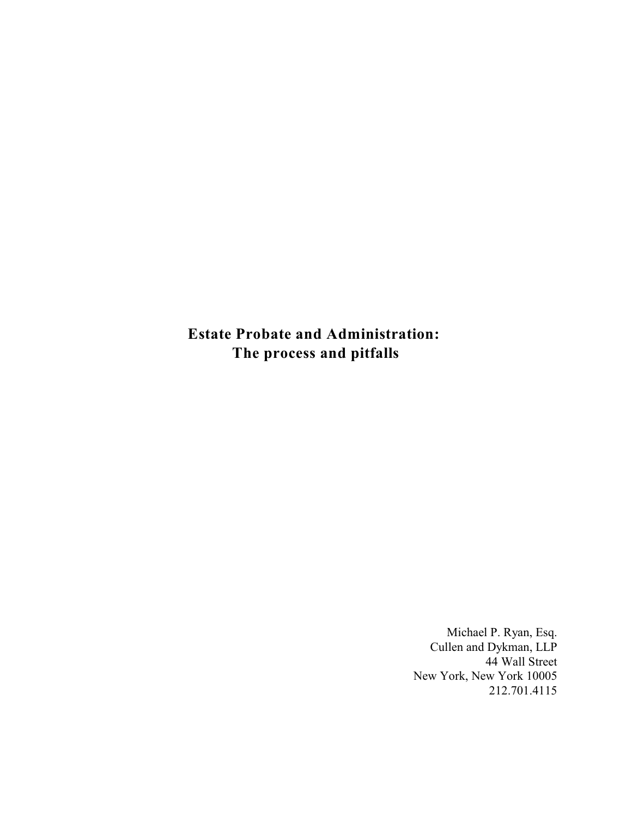**Estate Probate and Administration: The process and pitfalls**

> Michael P. Ryan, Esq. Cullen and Dykman, LLP 44 Wall Street New York, New York 10005 212.701.4115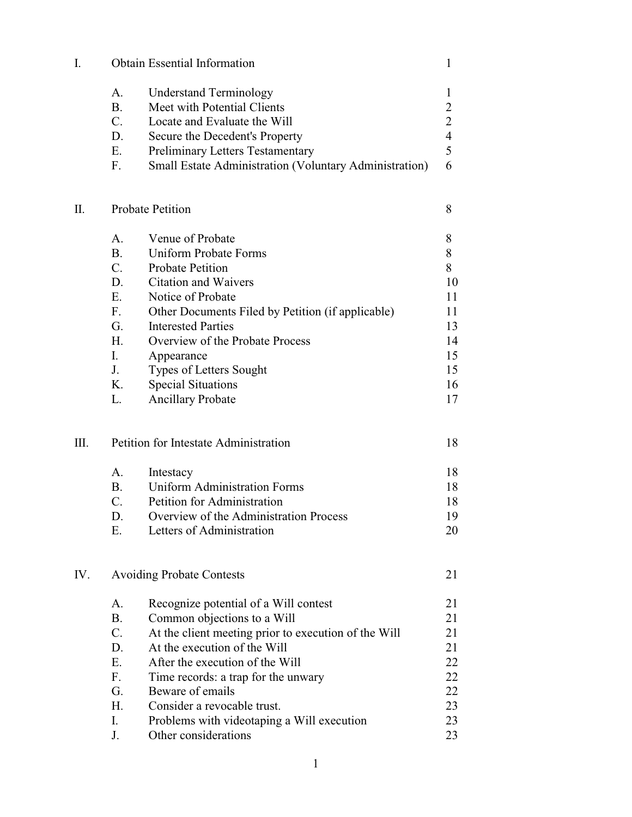| I.  | <b>Obtain Essential Information</b>   | $\mathbf 1$                                                   |                |
|-----|---------------------------------------|---------------------------------------------------------------|----------------|
|     | A.                                    | <b>Understand Terminology</b>                                 | 1              |
|     | <b>B.</b>                             | Meet with Potential Clients                                   | $\overline{2}$ |
|     | $C_{\cdot}$                           | Locate and Evaluate the Will                                  | $\overline{2}$ |
|     | D.                                    | Secure the Decedent's Property                                | $\overline{4}$ |
|     | Ε.                                    | <b>Preliminary Letters Testamentary</b>                       | 5              |
|     | $F_{\cdot}$                           | <b>Small Estate Administration (Voluntary Administration)</b> | 6              |
|     |                                       |                                                               |                |
| Π.  | <b>Probate Petition</b>               | 8                                                             |                |
|     | A.                                    | Venue of Probate                                              | 8              |
|     | <b>B.</b>                             | <b>Uniform Probate Forms</b>                                  | 8              |
|     | $C_{\cdot}$                           | <b>Probate Petition</b>                                       | 8              |
|     | D.                                    | <b>Citation and Waivers</b>                                   | 10             |
|     | E.                                    | Notice of Probate                                             | 11             |
|     | $F_{\cdot}$                           | Other Documents Filed by Petition (if applicable)             | 11             |
|     | G.                                    | <b>Interested Parties</b>                                     | 13             |
|     | H.                                    | Overview of the Probate Process                               | 14             |
|     | I.                                    | Appearance                                                    | 15             |
|     | J.                                    | Types of Letters Sought                                       | 15             |
|     | K.                                    | <b>Special Situations</b>                                     | 16             |
|     | L.                                    | <b>Ancillary Probate</b>                                      | 17             |
|     |                                       |                                                               |                |
| Ш.  | Petition for Intestate Administration |                                                               | 18             |
|     | A.                                    | Intestacy                                                     | 18             |
|     | <b>B.</b>                             | <b>Uniform Administration Forms</b>                           | 18             |
|     | $\mathcal{C}$ .                       | Petition for Administration                                   | 18             |
|     | D.                                    | Overview of the Administration Process                        | 19             |
|     | Ε.                                    | Letters of Administration                                     | 20             |
| IV. | <b>Avoiding Probate Contests</b>      |                                                               | 21             |
|     | A.                                    | Recognize potential of a Will contest                         | 21             |
|     | <b>B.</b>                             | Common objections to a Will                                   | 21             |
|     | C.                                    | At the client meeting prior to execution of the Will          | 21             |
|     | D.                                    | At the execution of the Will                                  | 21             |
|     | E.                                    | After the execution of the Will                               | 22             |
|     | $F_{\cdot}$                           | Time records: a trap for the unwary                           | 22             |
|     | G.                                    | Beware of emails                                              | 22             |
|     | H.                                    | Consider a revocable trust.                                   | 23             |
|     | I.                                    | Problems with videotaping a Will execution                    | 23             |
|     | J.                                    | Other considerations                                          | 23             |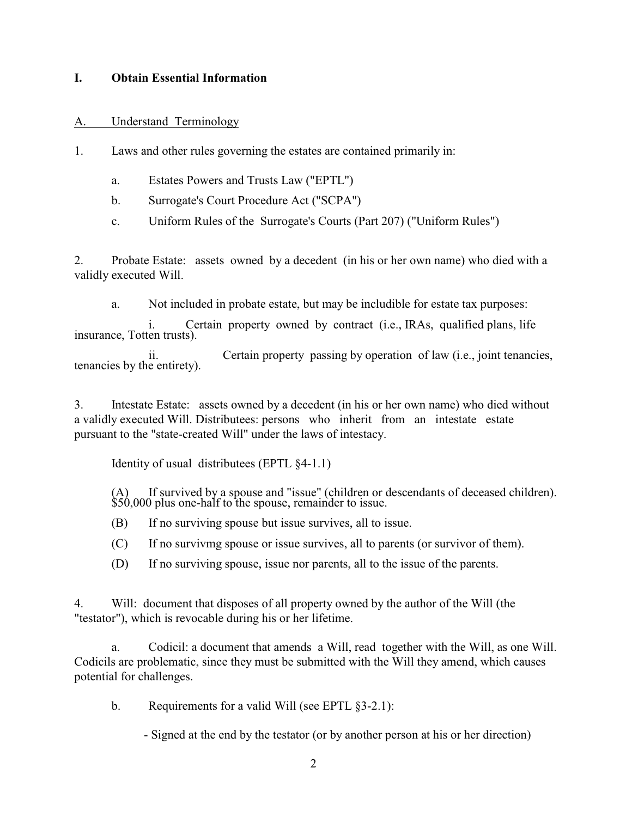#### **I. Obtain Essential Information**

### A. Understand Terminology

1. Laws and other rules governing the estates are contained primarily in:

- a. Estates Powers and Trusts Law ("EPTL")
- b. Surrogate's Court Procedure Act ("SCPA")
- c. Uniform Rules of the Surrogate's Courts (Part 207) ("Uniform Rules")

2. Probate Estate: assets owned by a decedent (in his or her own name) who died with a validly executed Will.

a. Not included in probate estate, but may be includible for estate tax purposes:

i. Certain property owned by contract (i.e., IRAs, qualified plans, life insurance, Totten trusts).

ii. Certain property passing by operation of law (i.e., joint tenancies, tenancies by the entirety).

3. Intestate Estate: assets owned by a decedent (in his or her own name) who died without a validly executed Will. Distributees: persons who inherit from an intestate estate pursuant to the "state-created Will" under the laws of intestacy.

Identity of usual distributees (EPTL §4-1.1)

 $(A)$  If survived by a spouse and "issue" (children or descendants of deceased children). \$50,000 plus one-half to the spouse, remainder to issue.

(B) If no surviving spouse but issue survives, all to issue.

(C) If no survivmg spouse or issue survives, all to parents (or survivor of them).

(D) If no surviving spouse, issue nor parents, all to the issue of the parents.

4. Will: document that disposes of all property owned by the author of the Will (the "testator"), which is revocable during his or her lifetime.

a. Codicil: a document that amends a Will, read together with the Will, as one Will. Codicils are problematic, since they must be submitted with the Will they amend, which causes potential for challenges.

b. Requirements for a valid Will (see EPTL §3-2.1):

- Signed at the end by the testator (or by another person at his or her direction)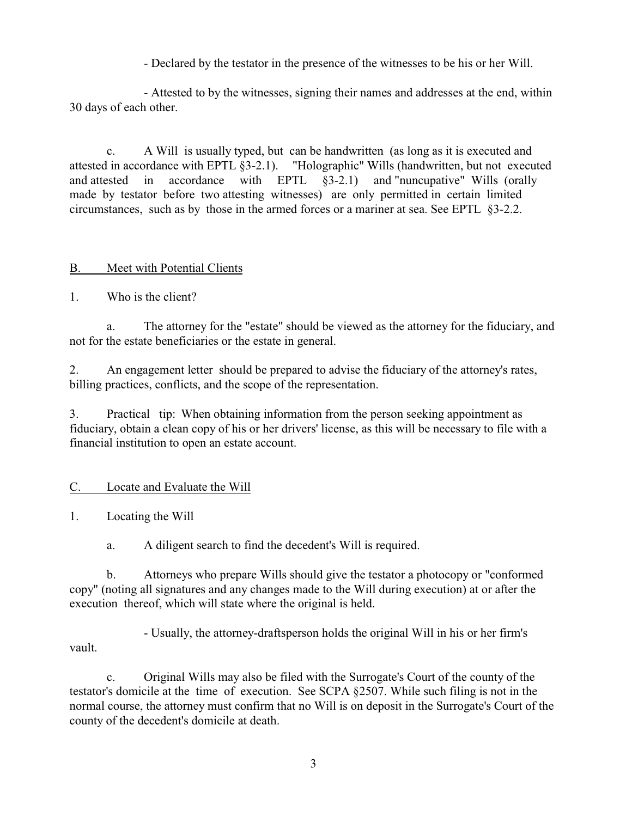- Declared by the testator in the presence of the witnesses to be his or her Will.

- Attested to by the witnesses, signing their names and addresses at the end, within 30 days of each other.

c. A Will is usually typed, but can be handwritten (as long as it is executed and attested in accordance with EPTL §3-2.1). "Holographic" Wills (handwritten, but not executed and attested in accordance with EPTL §3-2.1) and "nuncupative" Wills (orally made by testator before two attesting witnesses) are only permitted in certain limited circumstances, such as by those in the armed forces or a mariner at sea. See EPTL §3-2.2.

## B. Meet with Potential Clients

1. Who is the client?

a. The attorney for the "estate" should be viewed as the attorney for the fiduciary, and not for the estate beneficiaries or the estate in general.

2. An engagement letter should be prepared to advise the fiduciary of the attorney's rates, billing practices, conflicts, and the scope of the representation.

3. Practical tip: When obtaining information from the person seeking appointment as fiduciary, obtain a clean copy of his or her drivers' license, as this will be necessary to file with a financial institution to open an estate account.

# C. Locate and Evaluate the Will

1. Locating the Will

a. A diligent search to find the decedent's Will is required.

b. Attorneys who prepare Wills should give the testator a photocopy or "conformed copy" (noting all signatures and any changes made to the Will during execution) at or after the execution thereof, which will state where the original is held.

- Usually, the attorney-draftsperson holds the original Will in his or her firm's vault.

c. Original Wills may also be filed with the Surrogate's Court of the county of the testator's domicile at the time of execution. See SCPA §2507. While such filing is not in the normal course, the attorney must confirm that no Will is on deposit in the Surrogate's Court of the county of the decedent's domicile at death.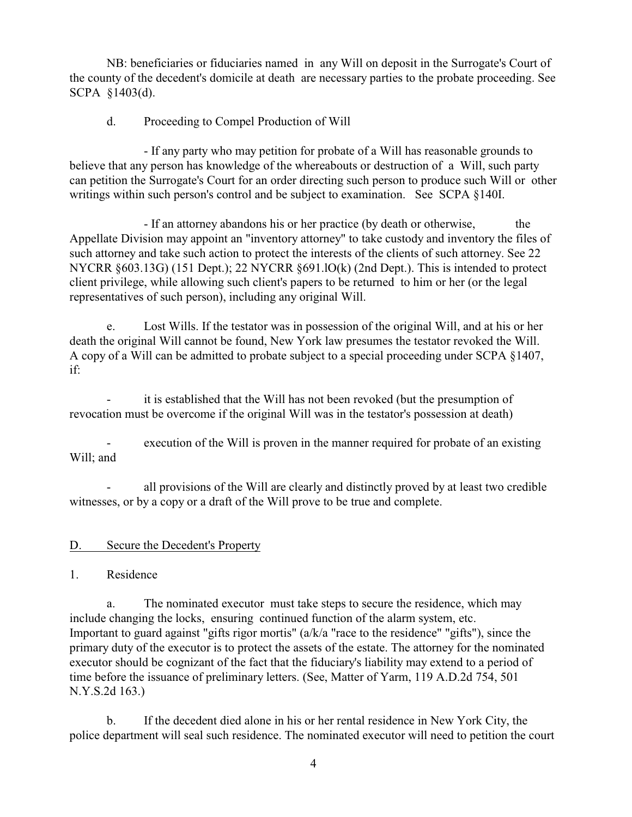NB: beneficiaries or fiduciaries named in any Will on deposit in the Surrogate's Court of the county of the decedent's domicile at death are necessary parties to the probate proceeding. See SCPA §1403(d).

## d. Proceeding to Compel Production of Will

- If any party who may petition for probate of a Will has reasonable grounds to believe that any person has knowledge of the whereabouts or destruction of a Will, such party can petition the Surrogate's Court for an order directing such person to produce such Will or other writings within such person's control and be subject to examination. See SCPA §140I.

- If an attorney abandons his or her practice (by death or otherwise, the Appellate Division may appoint an "inventory attorney" to take custody and inventory the files of such attorney and take such action to protect the interests of the clients of such attorney. See 22 NYCRR §603.13G) (151 Dept.); 22 NYCRR §691.lO(k) (2nd Dept.). This is intended to protect client privilege, while allowing such client's papers to be returned to him or her (or the legal representatives of such person), including any original Will.

e. Lost Wills. If the testator was in possession of the original Will, and at his or her death the original Will cannot be found, New York law presumes the testator revoked the Will. A copy of a Will can be admitted to probate subject to a special proceeding under SCPA §1407, if:

it is established that the Will has not been revoked (but the presumption of revocation must be overcome if the original Will was in the testator's possession at death)

execution of the Will is proven in the manner required for probate of an existing Will; and

all provisions of the Will are clearly and distinctly proved by at least two credible witnesses, or by a copy or a draft of the Will prove to be true and complete.

### D. Secure the Decedent's Property

### 1. Residence

a. The nominated executor must take steps to secure the residence, which may include changing the locks, ensuring continued function of the alarm system, etc. Important to guard against "gifts rigor mortis" (a/k/a "race to the residence" "gifts"), since the primary duty of the executor is to protect the assets of the estate. The attorney for the nominated executor should be cognizant of the fact that the fiduciary's liability may extend to a period of time before the issuance of preliminary letters. (See, Matter of Yarm, 119 A.D.2d 754, 501 N.Y.S.2d 163.)

b. If the decedent died alone in his or her rental residence in New York City, the police department will seal such residence. The nominated executor will need to petition the court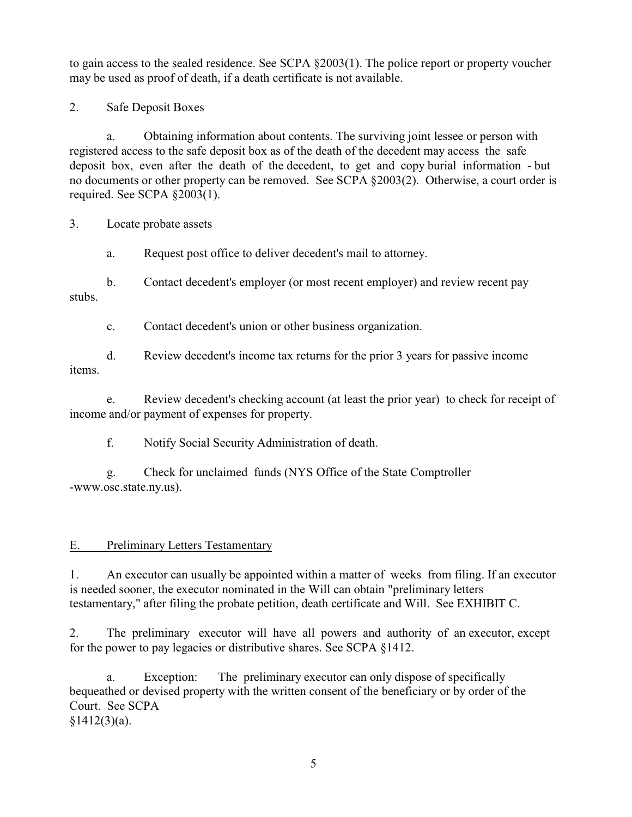to gain access to the sealed residence. See SCPA §2003(1). The police report or property voucher may be used as proof of death, if a death certificate is not available.

2. Safe Deposit Boxes

a. Obtaining information about contents. The surviving joint lessee or person with registered access to the safe deposit box as of the death of the decedent may access the safe deposit box, even after the death of the decedent, to get and copy burial information - but no documents or other property can be removed. See SCPA §2003(2). Otherwise, a court order is required. See SCPA §2003(1).

3. Locate probate assets

a. Request post office to deliver decedent's mail to attorney.

b. Contact decedent's employer (or most recent employer) and review recent pay stubs.

c. Contact decedent's union or other business organization.

d. Review decedent's income tax returns for the prior 3 years for passive income items.

e. Review decedent's checking account (at least the prior year) to check for receipt of income and/or payment of expenses for property.

f. Notify Social Security Administration of death.

g. Check for unclaimed funds (NYS Office of the State Comptroller -www.osc.state.ny.us).

# E. Preliminary Letters Testamentary

1. An executor can usually be appointed within a matter of weeks from filing. If an executor is needed sooner, the executor nominated in the Will can obtain "preliminary letters testamentary," after filing the probate petition, death certificate and Will. See EXHIBIT C.

2. The preliminary executor will have all powers and authority of an executor, except for the power to pay legacies or distributive shares. See SCPA §1412.

a. Exception: The preliminary executor can only dispose of specifically bequeathed or devised property with the written consent of the beneficiary or by order of the Court. See SCPA  $§1412(3)(a)$ .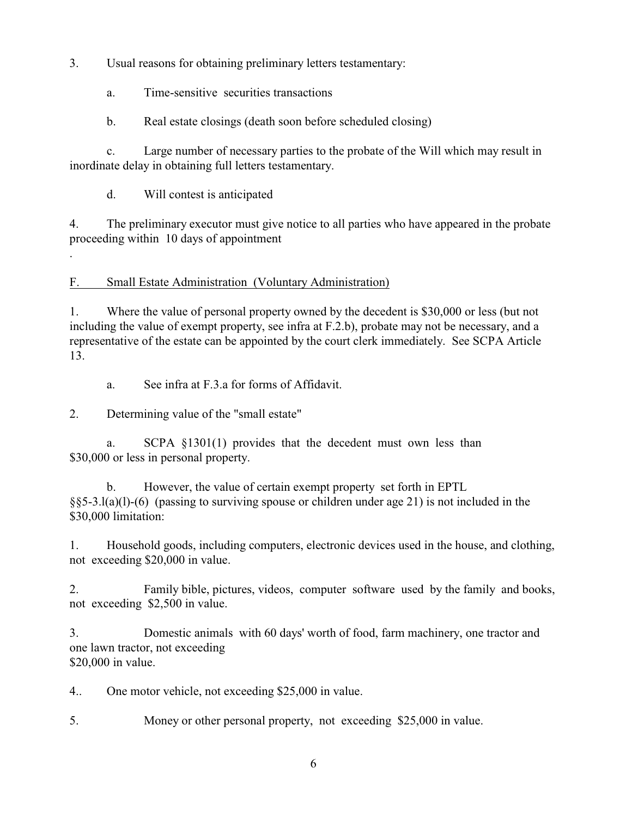3. Usual reasons for obtaining preliminary letters testamentary:

a. Time-sensitive securities transactions

b. Real estate closings (death soon before scheduled closing)

c. Large number of necessary parties to the probate of the Will which may result in inordinate delay in obtaining full letters testamentary.

d. Will contest is anticipated

.

4. The preliminary executor must give notice to all parties who have appeared in the probate proceeding within 10 days of appointment

F. Small Estate Administration (Voluntary Administration)

1. Where the value of personal property owned by the decedent is \$30,000 or less (but not including the value of exempt property, see infra at F.2.b), probate may not be necessary, and a representative of the estate can be appointed by the court clerk immediately. See SCPA Article 13.

a. See infra at F.3.a for forms of Affidavit.

2. Determining value of the "small estate"

a. SCPA §1301(1) provides that the decedent must own less than \$30,000 or less in personal property.

b. However, the value of certain exempt property set forth in EPTL §§5-3.l(a)(l)-(6) (passing to surviving spouse or children under age 21) is not included in the \$30,000 limitation:

1. Household goods, including computers, electronic devices used in the house, and clothing, not exceeding \$20,000 in value.

2. Family bible, pictures, videos, computer software used by the family and books, not exceeding \$2,500 in value.

3. Domestic animals with 60 days' worth of food, farm machinery, one tractor and one lawn tractor, not exceeding \$20,000 in value.

4.. One motor vehicle, not exceeding \$25,000 in value.

5. Money or other personal property, not exceeding \$25,000 in value.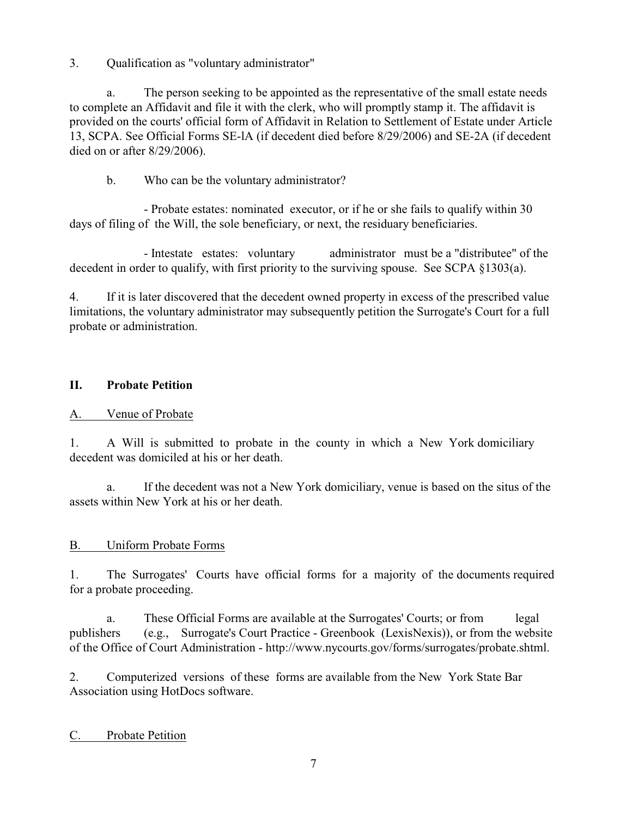3. Qualification as "voluntary administrator"

a. The person seeking to be appointed as the representative of the small estate needs to complete an Affidavit and file it with the clerk, who will promptly stamp it. The affidavit is provided on the courts' official form of Affidavit in Relation to Settlement of Estate under Article 13, SCPA. See Official Forms SE-lA (if decedent died before 8/29/2006) and SE-2A (if decedent died on or after 8/29/2006).

b. Who can be the voluntary administrator?

- Probate estates: nominated executor, or if he or she fails to qualify within 30 days of filing of the Will, the sole beneficiary, or next, the residuary beneficiaries.

- Intestate estates: voluntary administrator must be a "distributee" of the decedent in order to qualify, with first priority to the surviving spouse. See SCPA §1303(a).

4. If it is later discovered that the decedent owned property in excess of the prescribed value limitations, the voluntary administrator may subsequently petition the Surrogate's Court for a full probate or administration.

# **II. Probate Petition**

# A. Venue of Probate

1. A Will is submitted to probate in the county in which a New York domiciliary decedent was domiciled at his or her death.

a. If the decedent was not a New York domiciliary, venue is based on the situs of the assets within New York at his or her death.

### B. Uniform Probate Forms

1. The Surrogates' Courts have official forms for a majority of the documents required for a probate proceeding.

a. These Official Forms are available at the Surrogates' Courts; or from legal publishers (e.g., Surrogate's Court Practice - Greenbook (LexisNexis)), or from the website of the Office of Court Administration - http://www.nycourts.gov/forms/surrogates/probate.shtml.

2. Computerized versions of these forms are available from the New York State Bar Association using HotDocs software.

### C. Probate Petition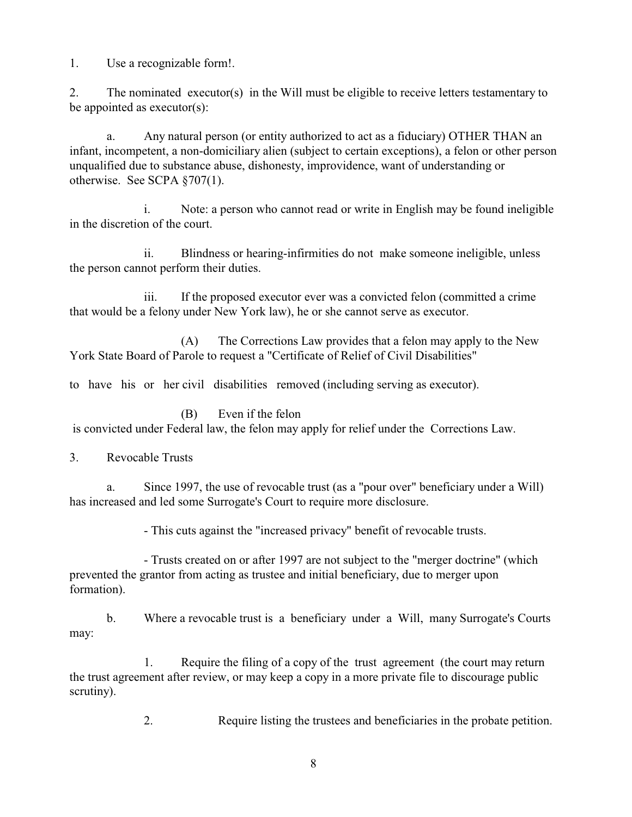1. Use a recognizable form!.

2. The nominated executor(s) in the Will must be eligible to receive letters testamentary to be appointed as executor(s):

a. Any natural person (or entity authorized to act as a fiduciary) OTHER THAN an infant, incompetent, a non-domiciliary alien (subject to certain exceptions), a felon or other person unqualified due to substance abuse, dishonesty, improvidence, want of understanding or otherwise. See SCPA §707(1).

i. Note: a person who cannot read or write in English may be found ineligible in the discretion of the court.

ii. Blindness or hearing-infirmities do not make someone ineligible, unless the person cannot perform their duties.

iii. If the proposed executor ever was a convicted felon (committed a crime that would be a felony under New York law), he or she cannot serve as executor.

(A) The Corrections Law provides that a felon may apply to the New York State Board of Parole to request a "Certificate of Relief of Civil Disabilities"

to have his or her civil disabilities removed (including serving as executor).

(B) Even if the felon

is convicted under Federal law, the felon may apply for relief under the Corrections Law.

3. Revocable Trusts

a. Since 1997, the use of revocable trust (as a "pour over" beneficiary under a Will) has increased and led some Surrogate's Court to require more disclosure.

- This cuts against the "increased privacy" benefit of revocable trusts.

- Trusts created on or after 1997 are not subject to the "merger doctrine" (which prevented the grantor from acting as trustee and initial beneficiary, due to merger upon formation).

b. Where a revocable trust is a beneficiary under a Will, many Surrogate's Courts may:

1. Require the filing of a copy of the trust agreement (the court may return the trust agreement after review, or may keep a copy in a more private file to discourage public scrutiny).

2. Require listing the trustees and beneficiaries in the probate petition.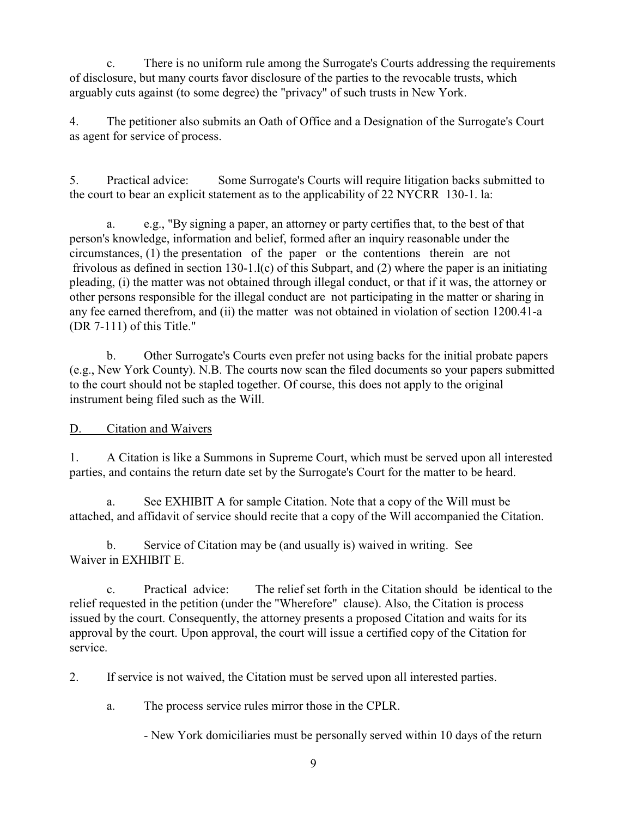c. There is no uniform rule among the Surrogate's Courts addressing the requirements of disclosure, but many courts favor disclosure of the parties to the revocable trusts, which arguably cuts against (to some degree) the "privacy" of such trusts in New York.

4. The petitioner also submits an Oath of Office and a Designation of the Surrogate's Court as agent for service of process.

5. Practical advice: Some Surrogate's Courts will require litigation backs submitted to the court to bear an explicit statement as to the applicability of 22 NYCRR 130-1. la:

a. e.g., "By signing a paper, an attorney or party certifies that, to the best of that person's knowledge, information and belief, formed after an inquiry reasonable under the circumstances, (1) the presentation of the paper or the contentions therein are not frivolous as defined in section 130-1.l(c) of this Subpart, and (2) where the paper is an initiating pleading, (i) the matter was not obtained through illegal conduct, or that if it was, the attorney or other persons responsible for the illegal conduct are not participating in the matter or sharing in any fee earned therefrom, and (ii) the matter was not obtained in violation of section 1200.41-a (DR 7-111) of this Title."

b. Other Surrogate's Courts even prefer not using backs for the initial probate papers (e.g., New York County). N.B. The courts now scan the filed documents so your papers submitted to the court should not be stapled together. Of course, this does not apply to the original instrument being filed such as the Will.

D. Citation and Waivers

1. A Citation is like a Summons in Supreme Court, which must be served upon all interested parties, and contains the return date set by the Surrogate's Court for the matter to be heard.

a. See EXHIBIT A for sample Citation. Note that a copy of the Will must be attached, and affidavit of service should recite that a copy of the Will accompanied the Citation.

b. Service of Citation may be (and usually is) waived in writing. See Waiver in EXHIBIT E.

c. Practical advice: The relief set forth in the Citation should be identical to the relief requested in the petition (under the "Wherefore" clause). Also, the Citation is process issued by the court. Consequently, the attorney presents a proposed Citation and waits for its approval by the court. Upon approval, the court will issue a certified copy of the Citation for service.

2. If service is not waived, the Citation must be served upon all interested parties.

a. The process service rules mirror those in the CPLR.

- New York domiciliaries must be personally served within 10 days of the return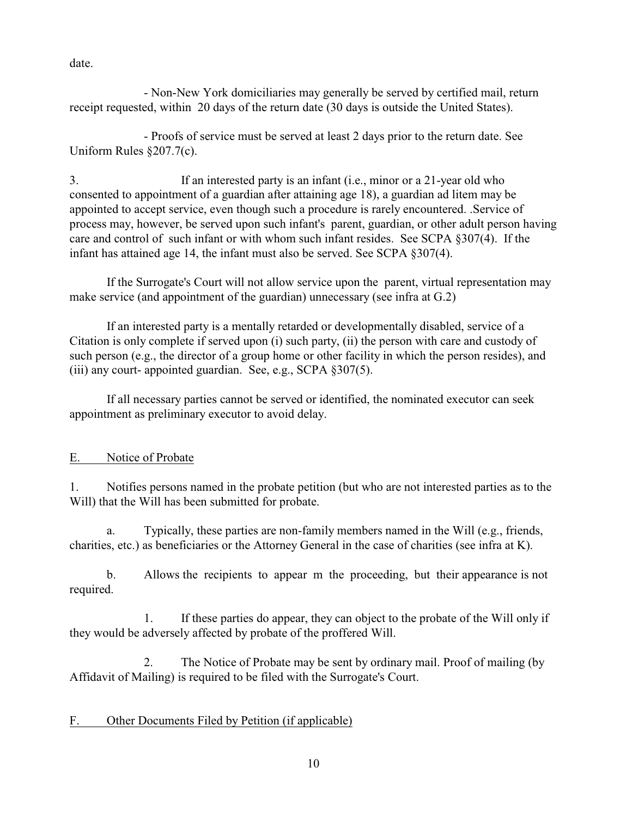date.

- Non-New York domiciliaries may generally be served by certified mail, return receipt requested, within 20 days of the return date (30 days is outside the United States).

- Proofs of service must be served at least 2 days prior to the return date. See Uniform Rules §207.7(c).

3. If an interested party is an infant (i.e., minor or a 21-year old who consented to appointment of a guardian after attaining age 18), a guardian ad litem may be appointed to accept service, even though such a procedure is rarely encountered. .Service of process may, however, be served upon such infant's parent, guardian, or other adult person having care and control of such infant or with whom such infant resides. See SCPA §307(4). If the infant has attained age 14, the infant must also be served. See SCPA §307(4).

If the Surrogate's Court will not allow service upon the parent, virtual representation may make service (and appointment of the guardian) unnecessary (see infra at G.2)

If an interested party is a mentally retarded or developmentally disabled, service of a Citation is only complete if served upon (i) such party, (ii) the person with care and custody of such person (e.g., the director of a group home or other facility in which the person resides), and (iii) any court- appointed guardian. See, e.g., SCPA §307(5).

If all necessary parties cannot be served or identified, the nominated executor can seek appointment as preliminary executor to avoid delay.

# E. Notice of Probate

1. Notifies persons named in the probate petition (but who are not interested parties as to the Will) that the Will has been submitted for probate.

a. Typically, these parties are non-family members named in the Will (e.g., friends, charities, etc.) as beneficiaries or the Attorney General in the case of charities (see infra at K).

b. Allows the recipients to appear m the proceeding, but their appearance is not required.

1. If these parties do appear, they can object to the probate of the Will only if they would be adversely affected by probate of the proffered Will.

2. The Notice of Probate may be sent by ordinary mail. Proof of mailing (by Affidavit of Mailing) is required to be filed with the Surrogate's Court.

# F. Other Documents Filed by Petition (if applicable)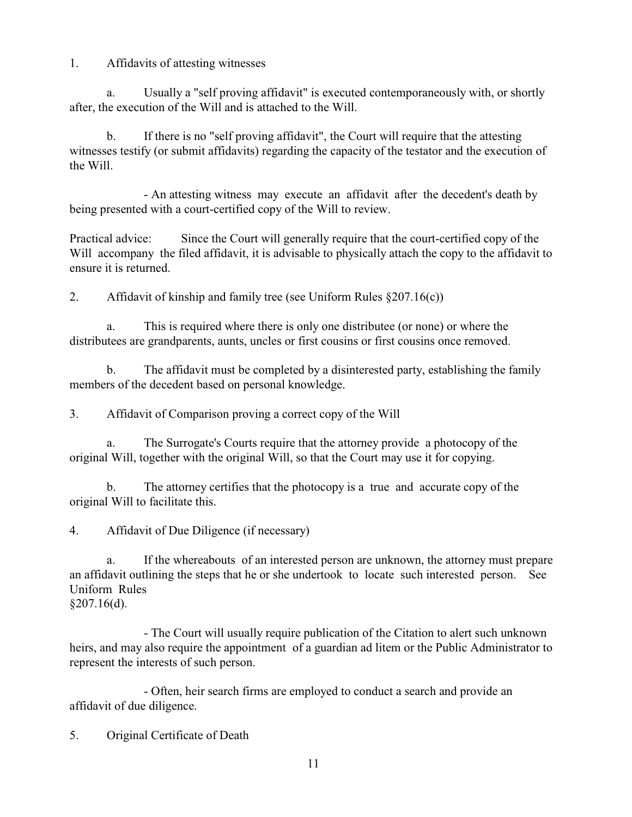1. Affidavits of attesting witnesses

a. Usually a "self proving affidavit" is executed contemporaneously with, or shortly after, the execution of the Will and is attached to the Will.

b. If there is no "self proving affidavit", the Court will require that the attesting witnesses testify (or submit affidavits) regarding the capacity of the testator and the execution of the Will.

- An attesting witness may execute an affidavit after the decedent's death by being presented with a court-certified copy of the Will to review.

Practical advice: Since the Court will generally require that the court-certified copy of the Will accompany the filed affidavit, it is advisable to physically attach the copy to the affidavit to ensure it is returned.

2. Affidavit of kinship and family tree (see Uniform Rules  $\S 207.16(c)$ )

a. This is required where there is only one distributee (or none) or where the distributees are grandparents, aunts, uncles or first cousins or first cousins once removed.

b. The affidavit must be completed by a disinterested party, establishing the family members of the decedent based on personal knowledge.

3. Affidavit of Comparison proving a correct copy of the Will

a. The Surrogate's Courts require that the attorney provide a photocopy of the original Will, together with the original Will, so that the Court may use it for copying.

b. The attorney certifies that the photocopy is a true and accurate copy of the original Will to facilitate this.

4. Affidavit of Due Diligence (if necessary)

a. If the whereabouts of an interested person are unknown, the attorney must prepare an affidavit outlining the steps that he or she undertook to locate such interested person. See Uniform Rules §207.16(d).

- The Court will usually require publication of the Citation to alert such unknown heirs, and may also require the appointment of a guardian ad litem or the Public Administrator to represent the interests of such person.

- Often, heir search firms are employed to conduct a search and provide an affidavit of due diligence.

5. Original Certificate of Death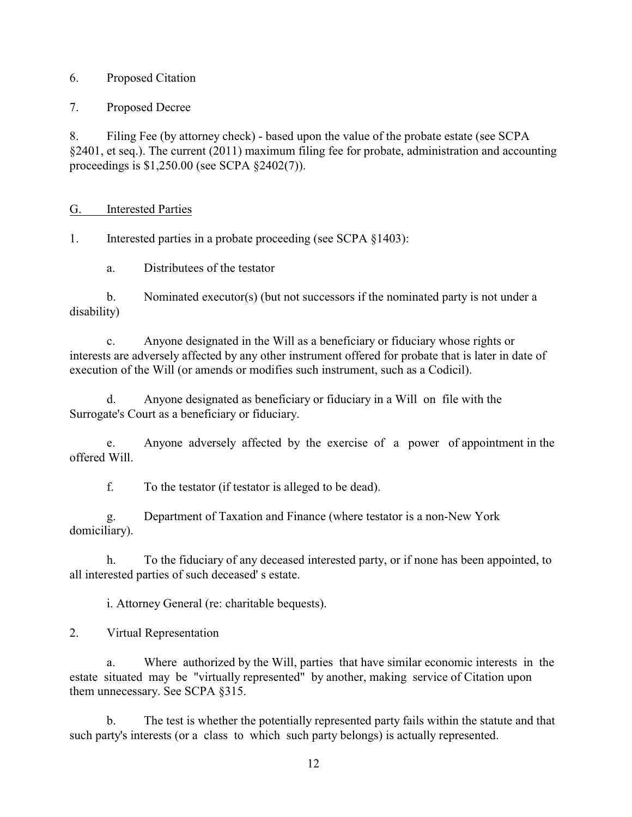### 6. Proposed Citation

7. Proposed Decree

8. Filing Fee (by attorney check) - based upon the value of the probate estate (see SCPA §2401, et seq.). The current (2011) maximum filing fee for probate, administration and accounting proceedings is \$1,250.00 (see SCPA §2402(7)).

### G. Interested Parties

1. Interested parties in a probate proceeding (see SCPA §1403):

a. Distributees of the testator

b. Nominated executor(s) (but not successors if the nominated party is not under a disability)

c. Anyone designated in the Will as a beneficiary or fiduciary whose rights or interests are adversely affected by any other instrument offered for probate that is later in date of execution of the Will (or amends or modifies such instrument, such as a Codicil).

d. Anyone designated as beneficiary or fiduciary in a Will on file with the Surrogate's Court as a beneficiary or fiduciary.

e. Anyone adversely affected by the exercise of a power of appointment in the offered Will.

f. To the testator (if testator is alleged to be dead).

g. Department of Taxation and Finance (where testator is a non-New York domiciliary).

h. To the fiduciary of any deceased interested party, or if none has been appointed, to all interested parties of such deceased' s estate.

i. Attorney General (re: charitable bequests).

2. Virtual Representation

a. Where authorized by the Will, parties that have similar economic interests in the estate situated may be "virtually represented" by another, making service of Citation upon them unnecessary. See SCPA §315.

b. The test is whether the potentially represented party fails within the statute and that such party's interests (or a class to which such party belongs) is actually represented.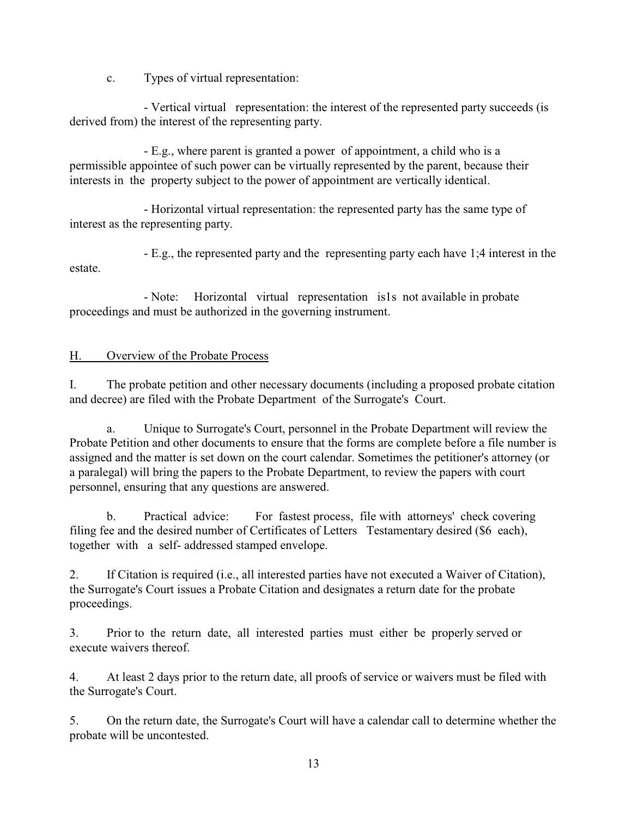c. Types of virtual representation:

- Vertical virtual representation: the interest of the represented party succeeds (is derived from) the interest of the representing party.

- E.g., where parent is granted a power of appointment, a child who is a permissible appointee of such power can be virtually represented by the parent, because their interests in the property subject to the power of appointment are vertically identical.

- Horizontal virtual representation: the represented party has the same type of interest as the representing party.

- E.g., the represented party and the representing party each have 1;4 interest in the estate.

- Note: Horizontal virtual representation is1s not available in probate proceedings and must be authorized in the governing instrument.

### H. Overview of the Probate Process

I. The probate petition and other necessary documents (including a proposed probate citation and decree) are filed with the Probate Department of the Surrogate's Court.

a. Unique to Surrogate's Court, personnel in the Probate Department will review the Probate Petition and other documents to ensure that the forms are complete before a file number is assigned and the matter is set down on the court calendar. Sometimes the petitioner's attorney (or a paralegal) will bring the papers to the Probate Department, to review the papers with court personnel, ensuring that any questions are answered.

b. Practical advice: For fastest process, file with attorneys' check covering filing fee and the desired number of Certificates of Letters Testamentary desired (\$6 each), together with a self- addressed stamped envelope.

2. If Citation is required (i.e., all interested parties have not executed a Waiver of Citation), the Surrogate's Court issues a Probate Citation and designates a return date for the probate proceedings.

3. Prior to the return date, all interested parties must either be properly served or execute waivers thereof.

4. At least 2 days prior to the return date, all proofs of service or waivers must be filed with the Surrogate's Court.

5. On the return date, the Surrogate's Court will have a calendar call to determine whether the probate will be uncontested.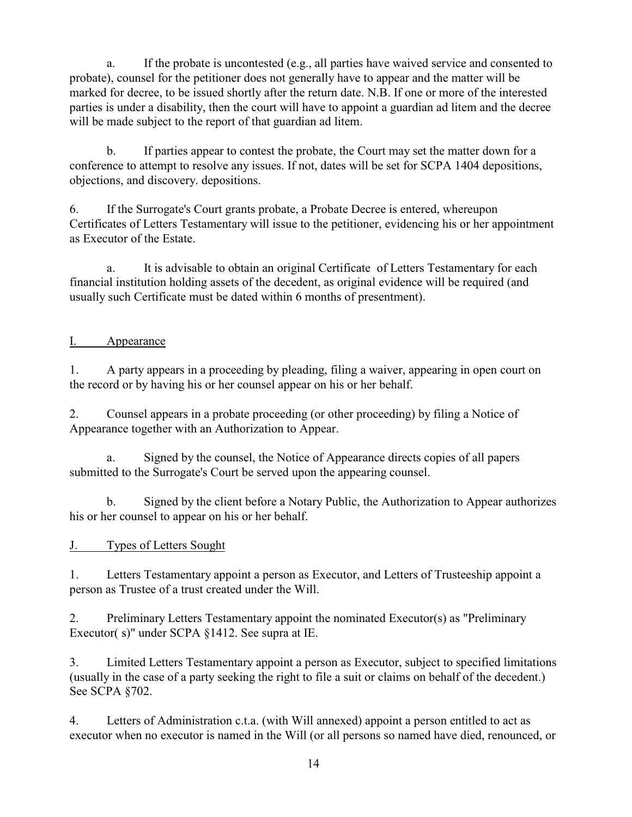a. If the probate is uncontested (e.g., all parties have waived service and consented to probate), counsel for the petitioner does not generally have to appear and the matter will be marked for decree, to be issued shortly after the return date. N.B. If one or more of the interested parties is under a disability, then the court will have to appoint a guardian ad litem and the decree will be made subject to the report of that guardian ad litem.

b. If parties appear to contest the probate, the Court may set the matter down for a conference to attempt to resolve any issues. If not, dates will be set for SCPA 1404 depositions, objections, and discovery. depositions.

6. If the Surrogate's Court grants probate, a Probate Decree is entered, whereupon Certificates of Letters Testamentary will issue to the petitioner, evidencing his or her appointment as Executor of the Estate.

a. It is advisable to obtain an original Certificate of Letters Testamentary for each financial institution holding assets of the decedent, as original evidence will be required (and usually such Certificate must be dated within 6 months of presentment).

# I. Appearance

1. A party appears in a proceeding by pleading, filing a waiver, appearing in open court on the record or by having his or her counsel appear on his or her behalf.

2. Counsel appears in a probate proceeding (or other proceeding) by filing a Notice of Appearance together with an Authorization to Appear.

a. Signed by the counsel, the Notice of Appearance directs copies of all papers submitted to the Surrogate's Court be served upon the appearing counsel.

b. Signed by the client before a Notary Public, the Authorization to Appear authorizes his or her counsel to appear on his or her behalf.

# J. Types of Letters Sought

1. Letters Testamentary appoint a person as Executor, and Letters of Trusteeship appoint a person as Trustee of a trust created under the Will.

2. Preliminary Letters Testamentary appoint the nominated Executor(s) as "Preliminary Executor( s)" under SCPA §1412. See supra at IE.

3. Limited Letters Testamentary appoint a person as Executor, subject to specified limitations (usually in the case of a party seeking the right to file a suit or claims on behalf of the decedent.) See SCPA §702.

4. Letters of Administration c.t.a. (with Will annexed) appoint a person entitled to act as executor when no executor is named in the Will (or all persons so named have died, renounced, or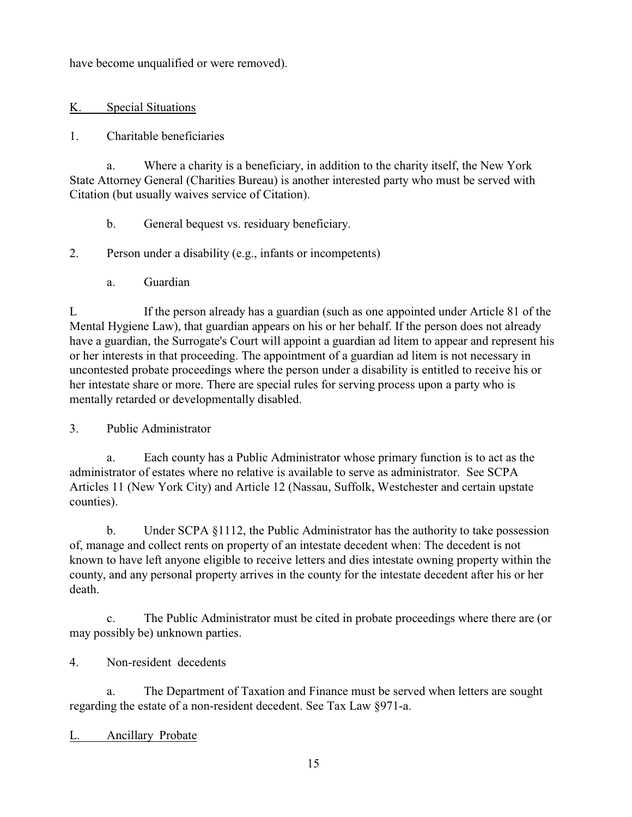have become unqualified or were removed).

# K. Special Situations

## 1. Charitable beneficiaries

a. Where a charity is a beneficiary, in addition to the charity itself, the New York State Attorney General (Charities Bureau) is another interested party who must be served with Citation (but usually waives service of Citation).

b. General bequest vs. residuary beneficiary.

# 2. Person under a disability (e.g., infants or incompetents)

a. Guardian

L If the person already has a guardian (such as one appointed under Article 81 of the Mental Hygiene Law), that guardian appears on his or her behalf. If the person does not already have a guardian, the Surrogate's Court will appoint a guardian ad litem to appear and represent his or her interests in that proceeding. The appointment of a guardian ad litem is not necessary in uncontested probate proceedings where the person under a disability is entitled to receive his or her intestate share or more. There are special rules for serving process upon a party who is mentally retarded or developmentally disabled.

3. Public Administrator

a. Each county has a Public Administrator whose primary function is to act as the administrator of estates where no relative is available to serve as administrator. See SCPA Articles 11 (New York City) and Article 12 (Nassau, Suffolk, Westchester and certain upstate counties).

b. Under SCPA §1112, the Public Administrator has the authority to take possession of, manage and collect rents on property of an intestate decedent when: The decedent is not known to have left anyone eligible to receive letters and dies intestate owning property within the county, and any personal property arrives in the county for the intestate decedent after his or her death.

c. The Public Administrator must be cited in probate proceedings where there are (or may possibly be) unknown parties.

4. Non-resident decedents

a. The Department of Taxation and Finance must be served when letters are sought regarding the estate of a non-resident decedent. See Tax Law §971-a.

# L. Ancillary Probate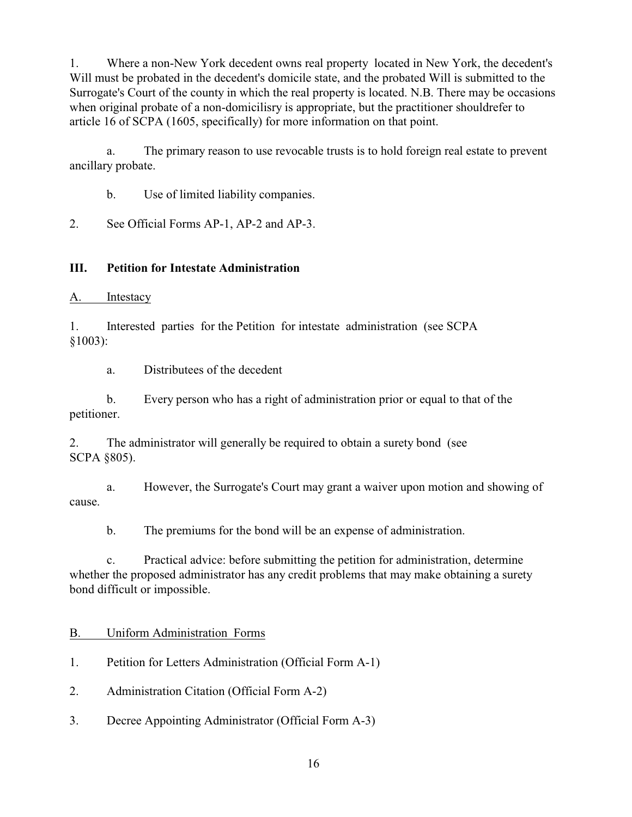1. Where a non-New York decedent owns real property located in New York, the decedent's Will must be probated in the decedent's domicile state, and the probated Will is submitted to the Surrogate's Court of the county in which the real property is located. N.B. There may be occasions when original probate of a non-domicilisry is appropriate, but the practitioner shouldrefer to article 16 of SCPA (1605, specifically) for more information on that point.

a. The primary reason to use revocable trusts is to hold foreign real estate to prevent ancillary probate.

b. Use of limited liability companies.

2. See Official Forms AP-1, AP-2 and AP-3.

# **III. Petition for Intestate Administration**

A. Intestacy

1. Interested parties for the Petition for intestate administration (see SCPA §1003):

a. Distributees of the decedent

b. Every person who has a right of administration prior or equal to that of the petitioner.

2. The administrator will generally be required to obtain a surety bond (see SCPA §805).

a. However, the Surrogate's Court may grant a waiver upon motion and showing of cause.

b. The premiums for the bond will be an expense of administration.

c. Practical advice: before submitting the petition for administration, determine whether the proposed administrator has any credit problems that may make obtaining a surety bond difficult or impossible.

# B. Uniform Administration Forms

1. Petition for Letters Administration (Official Form A-1)

2. Administration Citation (Official Form A-2)

3. Decree Appointing Administrator (Official Form A-3)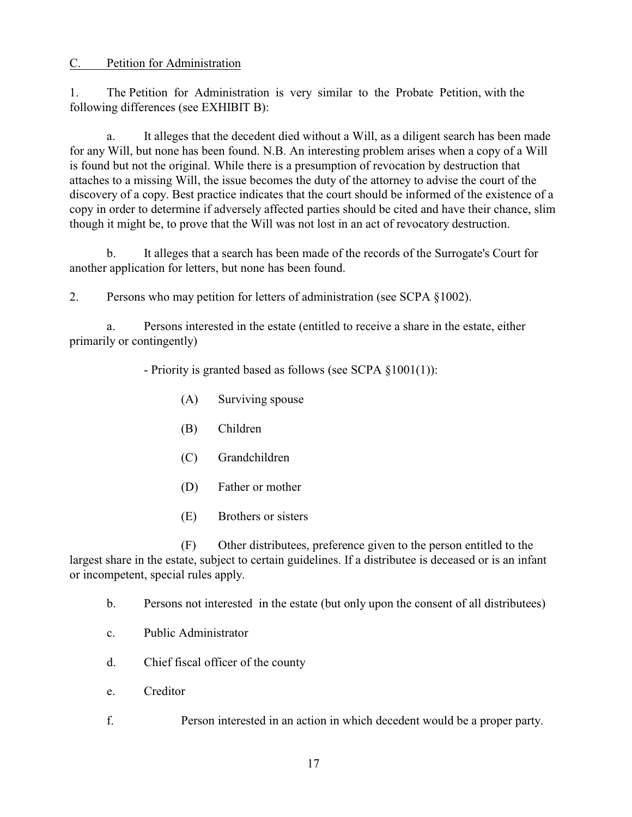#### C. Petition for Administration

1. The Petition for Administration is very similar to the Probate Petition, with the following differences (see EXHIBIT B):

a. It alleges that the decedent died without a Will, as a diligent search has been made for any Will, but none has been found. N.B. An interesting problem arises when a copy of a Will is found but not the original. While there is a presumption of revocation by destruction that attaches to a missing Will, the issue becomes the duty of the attorney to advise the court of the discovery of a copy. Best practice indicates that the court should be informed of the existence of a copy in order to determine if adversely affected parties should be cited and have their chance, slim though it might be, to prove that the Will was not lost in an act of revocatory destruction.

b. It alleges that a search has been made of the records of the Surrogate's Court for another application for letters, but none has been found.

2. Persons who may petition for letters of administration (see SCPA §1002).

a. Persons interested in the estate (entitled to receive a share in the estate, either primarily or contingently)

- Priority is granted based as follows (see SCPA §1001(1)):

- (A) Surviving spouse
- (B) Children
- (C) Grandchildren
- (D) Father or mother
- (E) Brothers or sisters

(F) Other distributees, preference given to the person entitled to the largest share in the estate, subject to certain guidelines. If a distributee is deceased or is an infant or incompetent, special rules apply.

- b. Persons not interested in the estate (but only upon the consent of all distributees)
- c. Public Administrator
- d. Chief fiscal officer of the county
- e. Creditor
- f. Person interested in an action in which decedent would be a proper party.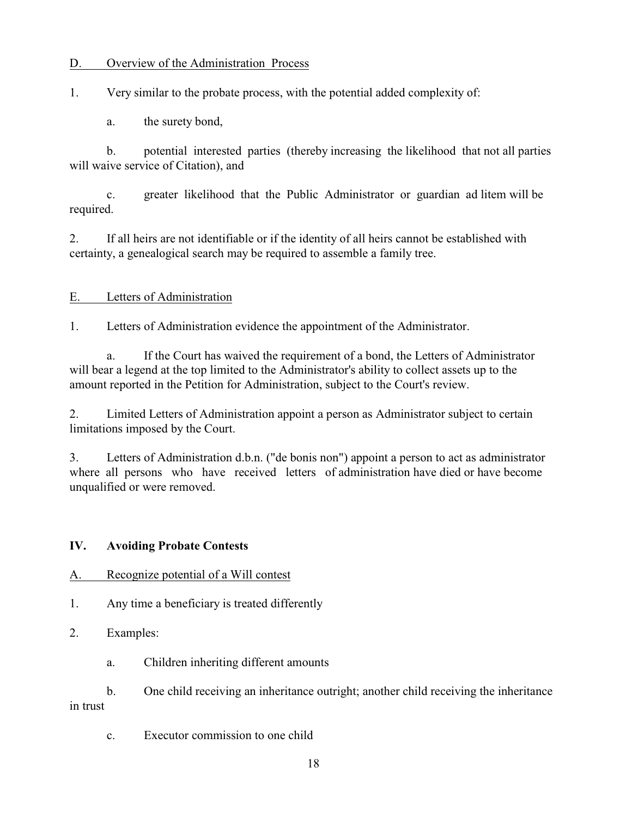### D. Overview of the Administration Process

1. Very similar to the probate process, with the potential added complexity of:

a. the surety bond,

b. potential interested parties (thereby increasing the likelihood that not all parties will waive service of Citation), and

c. greater likelihood that the Public Administrator or guardian ad litem will be required.

2. If all heirs are not identifiable or if the identity of all heirs cannot be established with certainty, a genealogical search may be required to assemble a family tree.

### E. Letters of Administration

1. Letters of Administration evidence the appointment of the Administrator.

a. If the Court has waived the requirement of a bond, the Letters of Administrator will bear a legend at the top limited to the Administrator's ability to collect assets up to the amount reported in the Petition for Administration, subject to the Court's review.

2. Limited Letters of Administration appoint a person as Administrator subject to certain limitations imposed by the Court.

3. Letters of Administration d.b.n. ("de bonis non") appoint a person to act as administrator where all persons who have received letters of administration have died or have become unqualified or were removed.

#### **IV. Avoiding Probate Contests**

#### A. Recognize potential of a Will contest

1. Any time a beneficiary is treated differently

2. Examples:

a. Children inheriting different amounts

b. One child receiving an inheritance outright; another child receiving the inheritance in trust

c. Executor commission to one child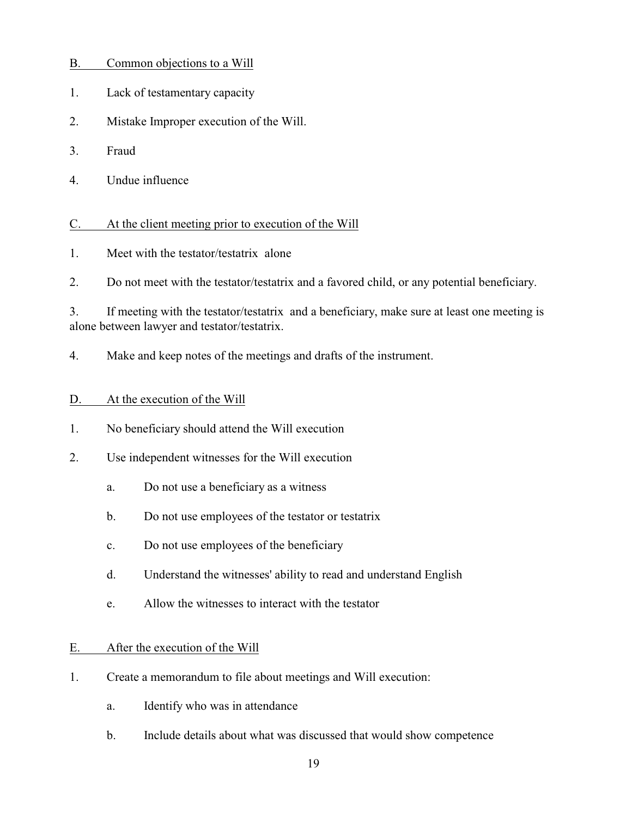| $\mathbf{B}$ |  | Common objections to a Will |  |  |  |
|--------------|--|-----------------------------|--|--|--|
|--------------|--|-----------------------------|--|--|--|

- 1. Lack of testamentary capacity
- 2. Mistake Improper execution of the Will.
- 3. Fraud
- 4. Undue influence

#### C. At the client meeting prior to execution of the Will

1. Meet with the testator/testatrix alone

2. Do not meet with the testator/testatrix and a favored child, or any potential beneficiary.

3. If meeting with the testator/testatrix and a beneficiary, make sure at least one meeting is alone between lawyer and testator/testatrix.

4. Make and keep notes of the meetings and drafts of the instrument.

#### D. At the execution of the Will

1. No beneficiary should attend the Will execution

- 2. Use independent witnesses for the Will execution
	- a. Do not use a beneficiary as a witness
	- b. Do not use employees of the testator or testatrix
	- c. Do not use employees of the beneficiary
	- d. Understand the witnesses' ability to read and understand English
	- e. Allow the witnesses to interact with the testator

#### E. After the execution of the Will

- 1. Create a memorandum to file about meetings and Will execution:
	- a. Identify who was in attendance
	- b. Include details about what was discussed that would show competence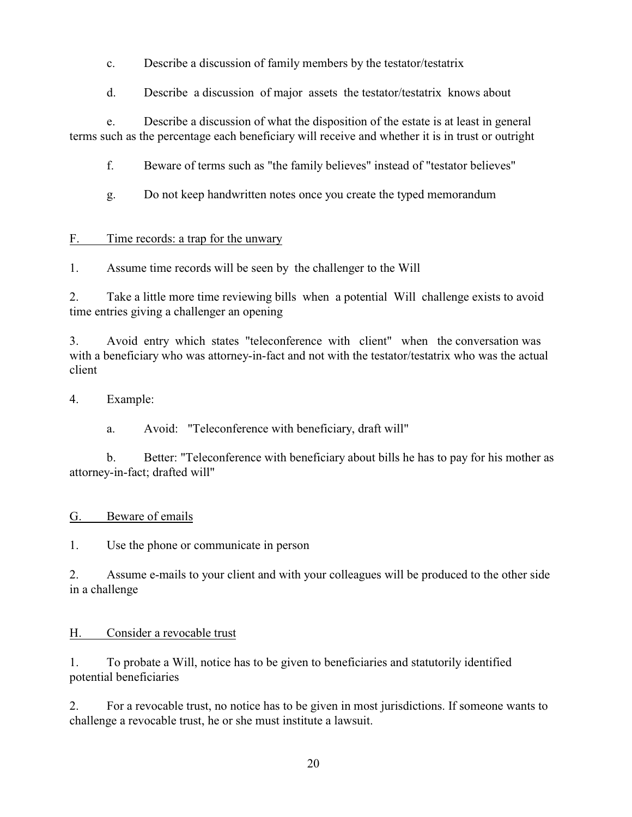c. Describe a discussion of family members by the testator/testatrix

d. Describe a discussion of major assets the testator/testatrix knows about

e. Describe a discussion of what the disposition of the estate is at least in general terms such as the percentage each beneficiary will receive and whether it is in trust or outright

f. Beware of terms such as "the family believes" instead of "testator believes"

g. Do not keep handwritten notes once you create the typed memorandum

# F. Time records: a trap for the unwary

1. Assume time records will be seen by the challenger to the Will

2. Take a little more time reviewing bills when a potential Will challenge exists to avoid time entries giving a challenger an opening

3. Avoid entry which states "teleconference with client" when the conversation was with a beneficiary who was attorney-in-fact and not with the testator/testatrix who was the actual client

# 4. Example:

a. Avoid: "Teleconference with beneficiary, draft will"

b. Better: "Teleconference with beneficiary about bills he has to pay for his mother as attorney-in-fact; drafted will"

# G. Beware of emails

1. Use the phone or communicate in person

2. Assume e-mails to your client and with your colleagues will be produced to the other side in a challenge

# H. Consider a revocable trust

1. To probate a Will, notice has to be given to beneficiaries and statutorily identified potential beneficiaries

2. For a revocable trust, no notice has to be given in most jurisdictions. If someone wants to challenge a revocable trust, he or she must institute a lawsuit.